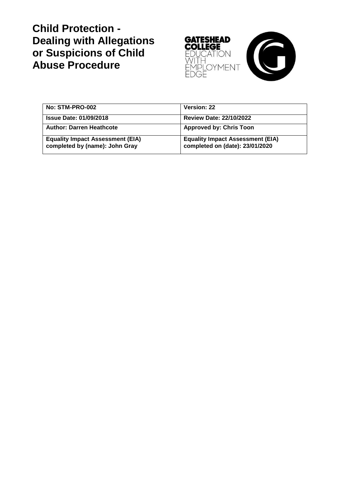# **Child Protection - Dealing with Allegations or Suspicions of Child Abuse Procedure**



| No: STM-PRO-002                                                           | Version: 22                                                                |
|---------------------------------------------------------------------------|----------------------------------------------------------------------------|
| <b>Issue Date: 01/09/2018</b>                                             | <b>Review Date: 22/10/2022</b>                                             |
| <b>Author: Darren Heathcote</b>                                           | <b>Approved by: Chris Toon</b>                                             |
| <b>Equality Impact Assessment (EIA)</b><br>completed by (name): John Gray | <b>Equality Impact Assessment (EIA)</b><br>completed on (date): 23/01/2020 |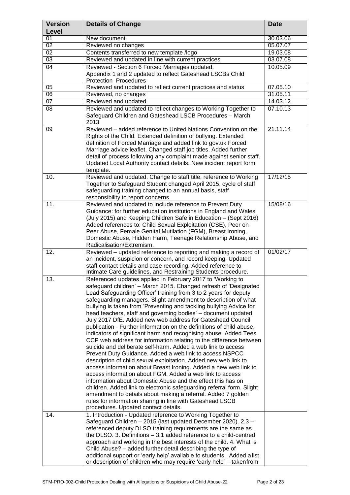| <b>Version</b><br>Level | <b>Details of Change</b>                                                                                                                                                                                                                                                                                                                                                                                                                                                                                                                                                                                                                                                                                                                                                                                                                                                                                                                                                                                                                                                                                                                                                                                                                                                                                                                | <b>Date</b> |
|-------------------------|-----------------------------------------------------------------------------------------------------------------------------------------------------------------------------------------------------------------------------------------------------------------------------------------------------------------------------------------------------------------------------------------------------------------------------------------------------------------------------------------------------------------------------------------------------------------------------------------------------------------------------------------------------------------------------------------------------------------------------------------------------------------------------------------------------------------------------------------------------------------------------------------------------------------------------------------------------------------------------------------------------------------------------------------------------------------------------------------------------------------------------------------------------------------------------------------------------------------------------------------------------------------------------------------------------------------------------------------|-------------|
| 01                      | New document                                                                                                                                                                                                                                                                                                                                                                                                                                                                                                                                                                                                                                                                                                                                                                                                                                                                                                                                                                                                                                                                                                                                                                                                                                                                                                                            | 30.03.06    |
| 02                      | Reviewed no changes                                                                                                                                                                                                                                                                                                                                                                                                                                                                                                                                                                                                                                                                                                                                                                                                                                                                                                                                                                                                                                                                                                                                                                                                                                                                                                                     | 05.07.07    |
| 02                      | Contents transferred to new template /logo                                                                                                                                                                                                                                                                                                                                                                                                                                                                                                                                                                                                                                                                                                                                                                                                                                                                                                                                                                                                                                                                                                                                                                                                                                                                                              | 19.03.08    |
| $\overline{03}$         | Reviewed and updated in line with current practices                                                                                                                                                                                                                                                                                                                                                                                                                                                                                                                                                                                                                                                                                                                                                                                                                                                                                                                                                                                                                                                                                                                                                                                                                                                                                     | 03.07.08    |
| 04                      | Reviewed - Section 6 Forced Marriages updated.<br>Appendix 1 and 2 updated to reflect Gateshead LSCBs Child<br>Protection Procedures                                                                                                                                                                                                                                                                                                                                                                                                                                                                                                                                                                                                                                                                                                                                                                                                                                                                                                                                                                                                                                                                                                                                                                                                    | 10.05.09    |
| 05                      | Reviewed and updated to reflect current practices and status                                                                                                                                                                                                                                                                                                                                                                                                                                                                                                                                                                                                                                                                                                                                                                                                                                                                                                                                                                                                                                                                                                                                                                                                                                                                            | 07.05.10    |
| $\overline{06}$         | Reviewed, no changes                                                                                                                                                                                                                                                                                                                                                                                                                                                                                                                                                                                                                                                                                                                                                                                                                                                                                                                                                                                                                                                                                                                                                                                                                                                                                                                    | 31.05.11    |
| 07                      | Reviewed and updated                                                                                                                                                                                                                                                                                                                                                                                                                                                                                                                                                                                                                                                                                                                                                                                                                                                                                                                                                                                                                                                                                                                                                                                                                                                                                                                    | 14.03.12    |
| 08                      | Reviewed and updated to reflect changes to Working Together to<br>Safeguard Children and Gateshead LSCB Procedures - March<br>2013                                                                                                                                                                                                                                                                                                                                                                                                                                                                                                                                                                                                                                                                                                                                                                                                                                                                                                                                                                                                                                                                                                                                                                                                      | 07.10.13    |
| 09                      | Reviewed - added reference to United Nations Convention on the<br>Rights of the Child. Extended definition of bullying. Extended<br>definition of Forced Marriage and added link to gov.uk Forced<br>Marriage advice leaflet. Changed staff job titles. Added further<br>detail of process following any complaint made against senior staff.<br>Updated Local Authority contact details. New incident report form<br>template.                                                                                                                                                                                                                                                                                                                                                                                                                                                                                                                                                                                                                                                                                                                                                                                                                                                                                                         | 21.11.14    |
| 10.                     | Reviewed and updated. Change to staff title, reference to Working<br>Together to Safeguard Student changed April 2015, cycle of staff<br>safeguarding training changed to an annual basis, staff<br>responsibility to report concerns.                                                                                                                                                                                                                                                                                                                                                                                                                                                                                                                                                                                                                                                                                                                                                                                                                                                                                                                                                                                                                                                                                                  | 17/12/15    |
| 11.                     | Reviewed and updated to include reference to Prevent Duty<br>Guidance: for further education institutions in England and Wales<br>(July 2015) and Keeping Children Safe in Education - (Sept 2016)<br>Added references to: Child Sexual Exploitation (CSE), Peer on<br>Peer Abuse, Female Genital Mutilation (FGM), Breast Ironing,<br>Domestic Abuse, Hidden Harm, Teenage Relationship Abuse, and<br>Radicalisation/Extremism.                                                                                                                                                                                                                                                                                                                                                                                                                                                                                                                                                                                                                                                                                                                                                                                                                                                                                                        | 15/08/16    |
| 12.                     | Reviewed - updated reference to reporting and making a record of<br>an incident, suspicion or concern, and record keeping. Updated<br>staff contact details and case recording. Added reference to<br>Intimate Care guidelines, and Restraining Students procedure.                                                                                                                                                                                                                                                                                                                                                                                                                                                                                                                                                                                                                                                                                                                                                                                                                                                                                                                                                                                                                                                                     | 01/02/17    |
| 13.                     | Referenced updates applied in February 2017 to 'Working to<br>safeguard children' - March 2015. Changed refresh of 'Designated<br>Lead Safeguarding Officer' training from 3 to 2 years for deputy<br>safeguarding managers. Slight amendment to description of what<br>bullying is taken from 'Preventing and tackling bullying Advice for<br>head teachers, staff and governing bodies' - document updated<br>July 2017 DfE. Added new web address for Gateshead Council<br>publication - Further information on the definitions of child abuse,<br>indicators of significant harm and recognising abuse. Added Tees<br>CCP web address for information relating to the difference between<br>suicide and deliberate self-harm. Added a web link to access<br>Prevent Duty Guidance. Added a web link to access NSPCC<br>description of child sexual exploitation. Added new web link to<br>access information about Breast Ironing. Added a new web link to<br>access information about FGM. Added a web link to access<br>information about Domestic Abuse and the effect this has on<br>children. Added link to electronic safeguarding referral form. Slight<br>amendment to details about making a referral. Added 7 golden<br>rules for information sharing in line with Gateshead LSCB<br>procedures. Updated contact details. |             |
| 14.                     | 1. Introduction - Updated reference to Working Together to<br>Safeguard Children - 2015 (last updated December 2020). 2.3 -<br>referenced deputy DLSO training requirements are the same as<br>the DLSO. 3. Definitions - 3.1 added reference to a child-centred<br>approach and working in the best interests of the child. 4. What is<br>Child Abuse? – added further detail describing the type of<br>additional support or 'early help' available to students. Added a list<br>or description of children who may require 'early help' – takenfrom                                                                                                                                                                                                                                                                                                                                                                                                                                                                                                                                                                                                                                                                                                                                                                                  |             |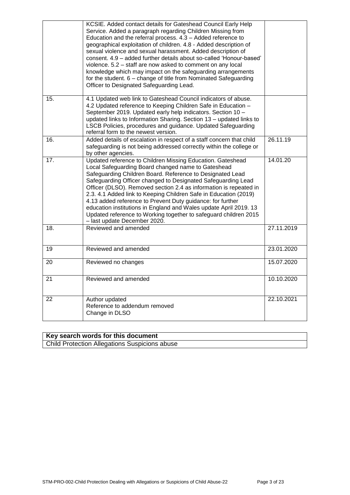|                   | KCSIE. Added contact details for Gateshead Council Early Help<br>Service. Added a paragraph regarding Children Missing from<br>Education and the referral process. $4.3 -$ Added reference to<br>geographical exploitation of children. 4.8 - Added description of<br>sexual violence and sexual harassment. Added description of<br>consent. 4.9 - added further details about so-called 'Honour-based'<br>violence. 5.2 - staff are now asked to comment on any local<br>knowledge which may impact on the safeguarding arrangements<br>for the student. 6 – change of title from Nominated Safeguarding<br>Officer to Designated Safeguarding Lead. |            |
|-------------------|--------------------------------------------------------------------------------------------------------------------------------------------------------------------------------------------------------------------------------------------------------------------------------------------------------------------------------------------------------------------------------------------------------------------------------------------------------------------------------------------------------------------------------------------------------------------------------------------------------------------------------------------------------|------------|
| $\overline{15}$ . | 4.1 Updated web link to Gateshead Council indicators of abuse.<br>4.2 Updated reference to Keeping Children Safe in Education -<br>September 2019. Updated early help indicators. Section 10 -<br>updated links to Information Sharing. Section 13 - updated links to<br>LSCB Policies, procedures and guidance. Updated Safeguarding<br>referral form to the newest version.                                                                                                                                                                                                                                                                          |            |
| 16.               | Added details of escalation in respect of a staff concern that child<br>safeguarding is not being addressed correctly within the college or<br>by other agencies.                                                                                                                                                                                                                                                                                                                                                                                                                                                                                      | 26.11.19   |
| 17.               | Updated reference to Children Missing Education. Gateshead<br>Local Safeguarding Board changed name to Gateshead<br>Safeguarding Children Board. Reference to Designated Lead<br>Safeguarding Officer changed to Designated Safeguarding Lead<br>Officer (DLSO). Removed section 2.4 as information is repeated in<br>2.3. 4.1 Added link to Keeping Children Safe in Education (2019)<br>4.13 added reference to Prevent Duty guidance: for further<br>education institutions in England and Wales update April 2019. 13<br>Updated reference to Working together to safeguard children 2015<br>- last update December 2020.                          | 14.01.20   |
| 18.               | Reviewed and amended                                                                                                                                                                                                                                                                                                                                                                                                                                                                                                                                                                                                                                   | 27.11.2019 |
| 19                | Reviewed and amended                                                                                                                                                                                                                                                                                                                                                                                                                                                                                                                                                                                                                                   | 23.01.2020 |
| 20                | Reviewed no changes                                                                                                                                                                                                                                                                                                                                                                                                                                                                                                                                                                                                                                    | 15.07.2020 |
| 21                | Reviewed and amended                                                                                                                                                                                                                                                                                                                                                                                                                                                                                                                                                                                                                                   | 10.10.2020 |
| 22                | Author updated<br>Reference to addendum removed<br>Change in DLSO                                                                                                                                                                                                                                                                                                                                                                                                                                                                                                                                                                                      | 22.10.2021 |

## **Key search words for this document**

Child Protection Allegations Suspicions abuse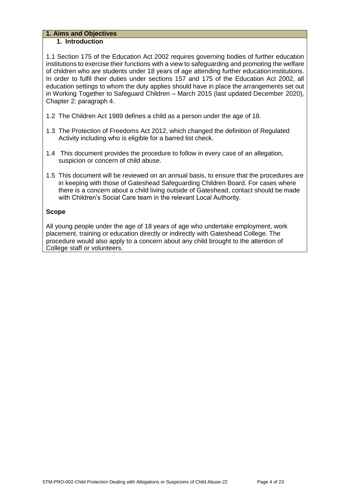#### **1. Aims and Objectives 1. Introduction**

1.1 Section 175 of the Education Act 2002 requires governing bodies of further education institutions to exercise their functions with a view to safeguarding and promoting the welfare of children who are students under 18 years of age attending further education institutions. In order to fulfil their duties under sections 157 and 175 of the Education Act 2002, all education settings to whom the duty applies should have in place the arrangements set out in Working Together to Safeguard Children – March 2015 (last updated December 2020), Chapter 2: paragraph 4.

- 1.2 The Children Act 1989 defines a child as a person under the age of 18.
- 1.3 The Protection of Freedoms Act 2012, which changed the definition of Regulated Activity including who is eligible for a barred list check.
- 1.4 This document provides the procedure to follow in every case of an allegation, suspicion or concern of child abuse.
- 1.5 This document will be reviewed on an annual basis, to ensure that the procedures are in keeping with those of Gateshead Safeguarding Children Board. For cases where there is a concern about a child living outside of Gateshead, contact should be made with Children's Social Care team in the relevant Local Authority.

## **Scope**

All young people under the age of 18 years of age who undertake employment, work placement, training or education directly or indirectly with Gateshead College. The procedure would also apply to a concern about any child brought to the attention of College staff or volunteers.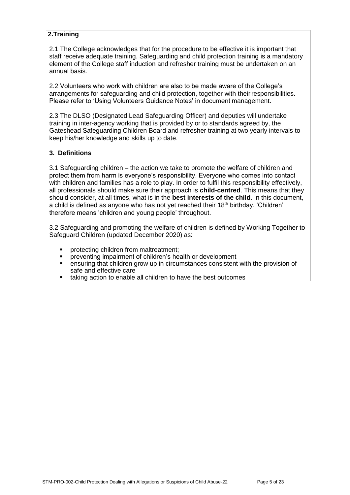## **2.Training**

2.1 The College acknowledges that for the procedure to be effective it is important that staff receive adequate training. Safeguarding and child protection training is a mandatory element of the College staff induction and refresher training must be undertaken on an annual basis.

2.2 Volunteers who work with children are also to be made aware of the College's arrangements for safeguarding and child protection, together with theirresponsibilities. Please refer to 'Using Volunteers Guidance Notes' in document management.

2.3 The DLSO (Designated Lead Safeguarding Officer) and deputies will undertake training in inter-agency working that is provided by or to standards agreed by, the Gateshead Safeguarding Children Board and refresher training at two yearly intervals to keep his/her knowledge and skills up to date.

## **3. Definitions**

3.1 Safeguarding children – the action we take to promote the welfare of children and protect them from harm is everyone's responsibility. Everyone who comes into contact with children and families has a role to play. In order to fulfil this responsibility effectively, all professionals should make sure their approach is **child-centred**. This means that they should consider, at all times, what is in the **best interests of the child**. In this document, a child is defined as anyone who has not yet reached their  $18<sup>th</sup>$  birthday. 'Children' therefore means 'children and young people' throughout.

3.2 Safeguarding and promoting the welfare of children is defined by Working Together to Safeguard Children (updated December 2020) as:

- protecting children from maltreatment;
- preventing impairment of children's health or development
- ensuring that children grow up in circumstances consistent with the provision of safe and effective care
- taking action to enable all children to have the best outcomes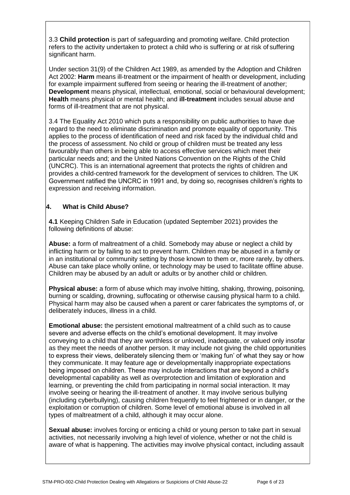3.3 **Child protection** is part of safeguarding and promoting welfare. Child protection refers to the activity undertaken to protect a child who is suffering or at risk of suffering significant harm.

Under section 31(9) of the Children Act 1989, as amended by the Adoption and Children Act 2002: **Harm** means ill-treatment or the impairment of health or development, including for example impairment suffered from seeing or hearing the ill-treatment of another; **Development** means physical, intellectual, emotional, social or behavioural development; **Health** means physical or mental health; and **ill-treatment** includes sexual abuse and forms of ill-treatment that are not physical.

3.4 The Equality Act 2010 which puts a responsibility on public authorities to have due regard to the need to eliminate discrimination and promote equality of opportunity. This applies to the process of identification of need and risk faced by the individual child and the process of assessment. No child or group of children must be treated any less favourably than others in being able to access effective services which meet their particular needs and; and the United Nations Convention on the Rights of the Child (UNCRC). This is an international agreement that protects the rights of children and provides a child-centred framework for the development of services to children. The UK Government ratified the UNCRC in 1991 and, by doing so, recognises children's rights to expression and receiving information.

## **4. What is Child Abuse?**

**4.1** Keeping Children Safe in Education (updated September 2021) provides the following definitions of abuse:

**Abuse:** a form of maltreatment of a child. Somebody may abuse or neglect a child by inflicting harm or by failing to act to prevent harm. Children may be abused in a family or in an institutional or community setting by those known to them or, more rarely, by others. Abuse can take place wholly online, or technology may be used to facilitate offline abuse. Children may be abused by an adult or adults or by another child or children.

**Physical abuse:** a form of abuse which may involve hitting, shaking, throwing, poisoning, burning or scalding, drowning, suffocating or otherwise causing physical harm to a child. Physical harm may also be caused when a parent or carer fabricates the symptoms of, or deliberately induces, illness in a child.

**Emotional abuse:** the persistent emotional maltreatment of a child such as to cause severe and adverse effects on the child's emotional development. It may involve conveying to a child that they are worthless or unloved, inadequate, or valued only insofar as they meet the needs of another person. It may include not giving the child opportunities to express their views, deliberately silencing them or 'making fun' of what they say or how they communicate. It may feature age or developmentally inappropriate expectations being imposed on children. These may include interactions that are beyond a child's developmental capability as well as overprotection and limitation of exploration and learning, or preventing the child from participating in normal social interaction. It may involve seeing or hearing the ill-treatment of another. It may involve serious bullying (including cyberbullying), causing children frequently to feel frightened or in danger, or the exploitation or corruption of children. Some level of emotional abuse is involved in all types of maltreatment of a child, although it may occur alone.

**Sexual abuse:** involves forcing or enticing a child or young person to take part in sexual activities, not necessarily involving a high level of violence, whether or not the child is aware of what is happening. The activities may involve physical contact, including assault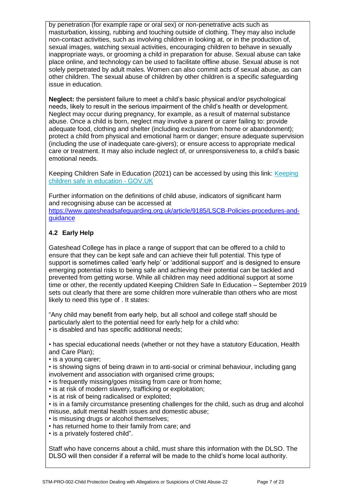by penetration (for example rape or oral sex) or non-penetrative acts such as masturbation, kissing, rubbing and touching outside of clothing. They may also include non-contact activities, such as involving children in looking at, or in the production of, sexual images, watching sexual activities, encouraging children to behave in sexually inappropriate ways, or grooming a child in preparation for abuse. Sexual abuse can take place online, and technology can be used to facilitate offline abuse. Sexual abuse is not solely perpetrated by adult males. Women can also commit acts of sexual abuse, as can other children. The sexual abuse of children by other children is a specific safeguarding issue in education.

**Neglect:** the persistent failure to meet a child's basic physical and/or psychological needs, likely to result in the serious impairment of the child's health or development. Neglect may occur during pregnancy, for example, as a result of maternal substance abuse. Once a child is born, neglect may involve a parent or carer failing to: provide adequate food, clothing and shelter (including exclusion from home or abandonment); protect a child from physical and emotional harm or danger; ensure adequate supervision (including the use of inadequate care-givers); or ensure access to appropriate medical care or treatment. It may also include neglect of, or unresponsiveness to, a child's basic emotional needs.

Keeping Children Safe in Education (2021) can be accessed by using this link: [Keeping](https://www.gov.uk/government/publications/keeping-children-safe-in-education--2) [children safe in education -](https://www.gov.uk/government/publications/keeping-children-safe-in-education--2) GOV.UK

Further information on the definitions of child abuse, indicators of significant harm and recognising abuse can be accessed at [https://www.gatesheadsafeguarding.org.uk/article/9185/LSCB-Policies-procedures-and](https://www.gatesheadsafeguarding.org.uk/article/9185/LSCB-Policies-procedures-and-guidance)[guidance](https://www.gatesheadsafeguarding.org.uk/article/9185/LSCB-Policies-procedures-and-guidance)

## **4.2 Early Help**

Gateshead College has in place a range of support that can be offered to a child to ensure that they can be kept safe and can achieve their full potential. This type of support is sometimes called 'early help' or 'additional support' and is designed to ensure emerging potential risks to being safe and achieving their potential can be tackled and prevented from getting worse. While all children may need additional support at some time or other, the recently updated Keeping Children Safe In Education – September 2019 sets out clearly that there are some children more vulnerable than others who are most likely to need this type of . It states:

"Any child may benefit from early help, but all school and college staff should be particularly alert to the potential need for early help for a child who: • is disabled and has specific additional needs;

• has special educational needs (whether or not they have a statutory Education, Health and Care Plan);

• is a young carer;

• is showing signs of being drawn in to anti-social or criminal behaviour, including gang involvement and association with organised crime groups:

- is frequently missing/goes missing from care or from home;
- is at risk of modern slavery, trafficking or exploitation;
- is at risk of being radicalised or exploited;
- is in a family circumstance presenting challenges for the child, such as drug and alcohol misuse, adult mental health issues and domestic abuse;
- is misusing drugs or alcohol themselves;
- has returned home to their family from care; and
- is a privately fostered child".

Staff who have concerns about a child, must share this information with the DLSO. The DLSO will then consider if a referral will be made to the child's home local authority.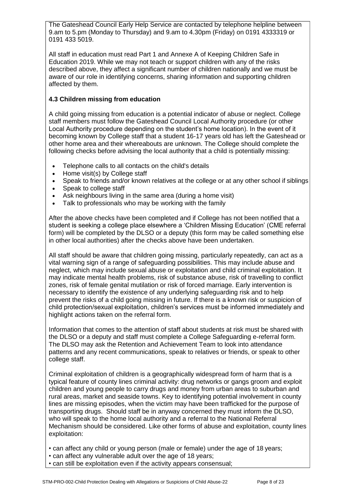The Gateshead Council Early Help Service are contacted by telephone helpline between 9.am to 5.pm (Monday to Thursday) and 9.am to 4.30pm (Friday) on 0191 4333319 or 0191 433 5019.

All staff in education must read Part 1 and Annexe A of Keeping Children Safe in Education 2019. While we may not teach or support children with any of the risks described above, they affect a significant number of children nationally and we must be aware of our role in identifying concerns, sharing information and supporting children affected by them.

## **4.3 Children missing from education**

A child going missing from education is a potential indicator of abuse or neglect. College staff members must follow the Gateshead Council Local Authority procedure (or other Local Authority procedure depending on the student's home location). In the event of it becoming known by College staff that a student 16-17 years old has left the Gateshead or other home area and their whereabouts are unknown. The College should complete the following checks before advising the local authority that a child is potentially missing:

- Telephone calls to all contacts on the child's details
- Home visit(s) by College staff
- Speak to friends and/or known relatives at the college or at any other school if siblings
- Speak to college staff
- Ask neighbours living in the same area (during a home visit)
- Talk to professionals who may be working with the family

After the above checks have been completed and if College has not been notified that a student is seeking a college place elsewhere a 'Children Missing Education' (CME referral form) will be completed by the DLSO or a deputy (this form may be called something else in other local authorities) after the checks above have been undertaken.

All staff should be aware that children going missing, particularly repeatedly, can act as a vital warning sign of a range of safeguarding possibilities. This may include abuse and neglect, which may include sexual abuse or exploitation and child criminal exploitation. It may indicate mental health problems, risk of substance abuse, risk of travelling to conflict zones, risk of female genital mutilation or risk of forced marriage. Early intervention is necessary to identify the existence of any underlying safeguarding risk and to help prevent the risks of a child going missing in future. If there is a known risk or suspicion of child protection/sexual exploitation, children's services must be informed immediately and highlight actions taken on the referral form.

Information that comes to the attention of staff about students at risk must be shared with the DLSO or a deputy and staff must complete a College Safeguarding e-referral form. The DLSO may ask the Retention and Achievement Team to look into attendance patterns and any recent communications, speak to relatives or friends, or speak to other college staff.

Criminal exploitation of children is a geographically widespread form of harm that is a typical feature of county lines criminal activity: drug networks or gangs groom and exploit children and young people to carry drugs and money from urban areas to suburban and rural areas, market and seaside towns. Key to identifying potential involvement in county lines are missing episodes, when the victim may have been trafficked for the purpose of transporting drugs. Should staff be in anyway concerned they must inform the DLSO, who will speak to the home local authority and a referral to the National Referral Mechanism should be considered. Like other forms of abuse and exploitation, county lines exploitation:

- can affect any child or young person (male or female) under the age of 18 years;
- can affect any vulnerable adult over the age of 18 years;
- can still be exploitation even if the activity appears consensual;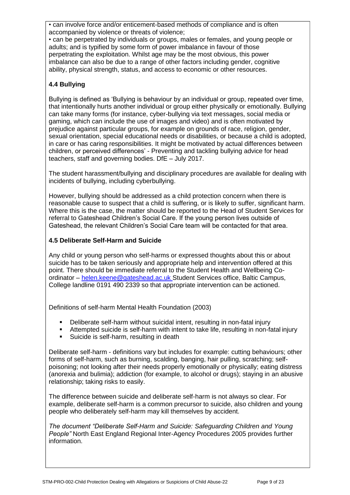• can involve force and/or enticement-based methods of compliance and is often accompanied by violence or threats of violence;

• can be perpetrated by individuals or groups, males or females, and young people or adults; and is typified by some form of power imbalance in favour of those perpetrating the exploitation. Whilst age may be the most obvious, this power imbalance can also be due to a range of other factors including gender, cognitive ability, physical strength, status, and access to economic or other resources.

## **4.4 Bullying**

Bullying is defined as 'Bullying is behaviour by an individual or group, repeated over time, that intentionally hurts another individual or group either physically or emotionally. Bullying can take many forms (for instance, cyber-bullying via text messages, social media or gaming, which can include the use of images and video) and is often motivated by prejudice against particular groups, for example on grounds of race, religion, gender, sexual orientation, special educational needs or disabilities, or because a child is adopted, in care or has caring responsibilities. It might be motivated by actual differences between children, or perceived differences' - Preventing and tackling bullying advice for head teachers, staff and governing bodies. DfE – July 2017.

The student harassment/bullying and disciplinary procedures are available for dealing with incidents of bullying, including cyberbullying.

However, bullying should be addressed as a child protection concern when there is reasonable cause to suspect that a child is suffering, or is likely to suffer, significant harm. Where this is the case, the matter should be reported to the Head of Student Services for referral to Gateshead Children's Social Care. If the young person lives outside of Gateshead, the relevant Children's Social Care team will be contacted for that area.

#### **4.5 Deliberate Self-Harm and Suicide**

Any child or young person who self-harms or expressed thoughts about this or about suicide has to be taken seriously and appropriate help and intervention offered at this point. There should be immediate referral to the Student Health and Wellbeing Coordinator – [helen.keene@gateshead.ac.uk S](mailto:helen.keene@gateshead.ac.uk)tudent Services office, Baltic Campus, College landline 0191 490 2339 so that appropriate intervention can be actioned.

Definitions of self-harm Mental Health Foundation (2003)

- Deliberate self-harm without suicidal intent, resulting in non-fatal injury
- **E** Attempted suicide is self-harm with intent to take life, resulting in non-fatal injury
- Suicide is self-harm, resulting in death

Deliberate self-harm - definitions vary but includes for example: cutting behaviours; other forms of self-harm, such as burning, scalding, banging, hair pulling, scratching; selfpoisoning; not looking after their needs properly emotionally or physically; eating distress (anorexia and bulimia); addiction (for example, to alcohol or drugs); staying in an abusive relationship; taking risks to easily.

The difference between suicide and deliberate self-harm is not always so clear. For example, deliberate self-harm is a common precursor to suicide, also children and young people who deliberately self-harm may kill themselves by accident.

*The document "Deliberate Self-Harm and Suicide: Safeguarding Children and Young People"* North East England Regional Inter-Agency Procedures 2005 provides further information.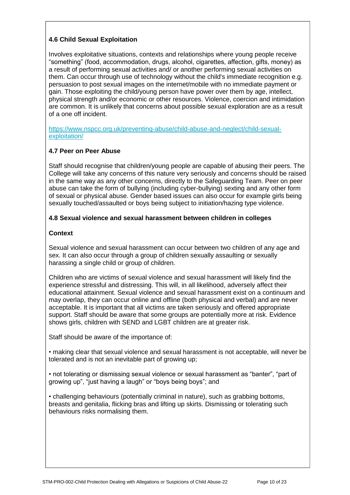## **4.6 Child Sexual Exploitation**

Involves exploitative situations, contexts and relationships where young people receive "something" (food, accommodation, drugs, alcohol, cigarettes, affection, gifts, money) as a result of performing sexual activities and/ or another performing sexual activities on them. Can occur through use of technology without the child's immediate recognition e.g. persuasion to post sexual images on the internet/mobile with no immediate payment or gain. Those exploiting the child/young person have power over them by age, intellect, physical strength and/or economic or other resources. Violence, coercion and intimidation are common. It is unlikely that concerns about possible sexual exploration are as a result of a one off incident.

[https://www.nspcc.org.uk/preventing-abuse/child-abuse-and-neglect/child-sexual](https://www.nspcc.org.uk/preventing-abuse/child-abuse-and-neglect/child-sexual-exploitation/)[exploitation/](https://www.nspcc.org.uk/preventing-abuse/child-abuse-and-neglect/child-sexual-exploitation/)

## **4.7 Peer on Peer Abuse**

Staff should recognise that children/young people are capable of abusing their peers. The College will take any concerns of this nature very seriously and concerns should be raised in the same way as any other concerns, directly to the Safeguarding Team. Peer on peer abuse can take the form of bullying (including cyber-bullying) sexting and any other form of sexual or physical abuse. Gender based issues can also occur for example girls being sexually touched/assaulted or boys being subject to initiation/hazing type violence.

#### **4.8 Sexual violence and sexual harassment between children in colleges**

#### **Context**

Sexual violence and sexual harassment can occur between two children of any age and sex. It can also occur through a group of children sexually assaulting or sexually harassing a single child or group of children.

Children who are victims of sexual violence and sexual harassment will likely find the experience stressful and distressing. This will, in all likelihood, adversely affect their educational attainment. Sexual violence and sexual harassment exist on a continuum and may overlap, they can occur online and offline (both physical and verbal) and are never acceptable. It is important that all victims are taken seriously and offered appropriate support. Staff should be aware that some groups are potentially more at risk. Evidence shows girls, children with SEND and LGBT children are at greater risk.

Staff should be aware of the importance of:

• making clear that sexual violence and sexual harassment is not acceptable, will never be tolerated and is not an inevitable part of growing up;

• not tolerating or dismissing sexual violence or sexual harassment as "banter", "part of growing up", "just having a laugh" or "boys being boys"; and

• challenging behaviours (potentially criminal in nature), such as grabbing bottoms, breasts and genitalia, flicking bras and lifting up skirts. Dismissing or tolerating such behaviours risks normalising them.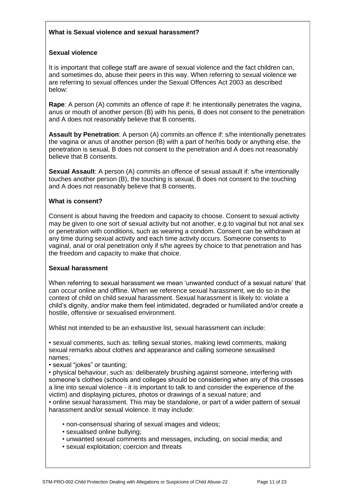## **What is Sexual violence and sexual harassment?**

#### **Sexual violence**

It is important that college staff are aware of sexual violence and the fact children can, and sometimes do, abuse their peers in this way. When referring to sexual violence we are referring to sexual offences under the Sexual Offences Act 2003 as described below:

**Rape**: A person (A) commits an offence of rape if: he intentionally penetrates the vagina, anus or mouth of another person (B) with his penis, B does not consent to the penetration and A does not reasonably believe that B consents.

**Assault by Penetration**: A person (A) commits an offence if: s/he intentionally penetrates the vagina or anus of another person (B) with a part of her/his body or anything else, the penetration is sexual, B does not consent to the penetration and A does not reasonably believe that B consents.

**Sexual Assault**: A person (A) commits an offence of sexual assault if: s/he intentionally touches another person (B), the touching is sexual, B does not consent to the touching and A does not reasonably believe that B consents.

#### **What is consent?**

Consent is about having the freedom and capacity to choose. Consent to sexual activity may be given to one sort of sexual activity but not another, e.g.to vaginal but not anal sex or penetration with conditions, such as wearing a condom. Consent can be withdrawn at any time during sexual activity and each time activity occurs. Someone consents to vaginal, anal or oral penetration only if s/he agrees by choice to that penetration and has the freedom and capacity to make that choice.

#### **Sexual harassment**

When referring to sexual harassment we mean 'unwanted conduct of a sexual nature' that can occur online and offline. When we reference sexual harassment, we do so in the context of child on child sexual harassment. Sexual harassment is likely to: violate a child's dignity, and/or make them feel intimidated, degraded or humiliated and/or create a hostile, offensive or sexualised environment.

Whilst not intended to be an exhaustive list, sexual harassment can include:

• sexual comments, such as: telling sexual stories, making lewd comments, making sexual remarks about clothes and appearance and calling someone sexualised names;

• sexual "jokes" or taunting;

• physical behaviour, such as: deliberately brushing against someone, interfering with someone's clothes (schools and colleges should be considering when any of this crosses a line into sexual violence - it is important to talk to and consider the experience of the victim) and displaying pictures, photos or drawings of a sexual nature; and • online sexual harassment. This may be standalone, or part of a wider pattern of sexual harassment and/or sexual violence. It may include:

- non-consensual sharing of sexual images and videos;
- sexualised online bullying;
- unwanted sexual comments and messages, including, on social media; and
- sexual exploitation; coercion and threats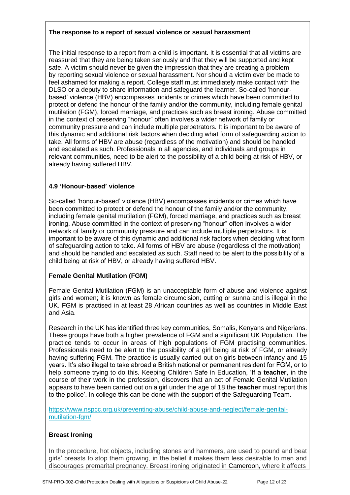#### **The response to a report of sexual violence or sexual harassment**

The initial response to a report from a child is important. It is essential that all victims are reassured that they are being taken seriously and that they will be supported and kept safe. A victim should never be given the impression that they are creating a problem by reporting sexual violence or sexual harassment. Nor should a victim ever be made to feel ashamed for making a report. College staff must immediately make contact with the DLSO or a deputy to share information and safeguard the learner. So-called 'honourbased' violence (HBV) encompasses incidents or crimes which have been committed to protect or defend the honour of the family and/or the community, including female genital mutilation (FGM), forced marriage, and practices such as breast ironing. Abuse committed in the context of preserving "honour" often involves a wider network of family or community pressure and can include multiple perpetrators. It is important to be aware of this dynamic and additional risk factors when deciding what form of safeguarding action to take. All forms of HBV are abuse (regardless of the motivation) and should be handled and escalated as such. Professionals in all agencies, and individuals and groups in relevant communities, need to be alert to the possibility of a child being at risk of HBV, or already having suffered HBV.

## **4.9 'Honour-based' violence**

So-called 'honour-based' violence (HBV) encompasses incidents or crimes which have been committed to protect or defend the honour of the family and/or the community, including female genital mutilation (FGM), forced marriage, and practices such as breast ironing. Abuse committed in the context of preserving "honour" often involves a wider network of family or community pressure and can include multiple perpetrators. It is important to be aware of this dynamic and additional risk factors when deciding what form of safeguarding action to take. All forms of HBV are abuse (regardless of the motivation) and should be handled and escalated as such. Staff need to be alert to the possibility of a child being at risk of HBV, or already having suffered HBV.

## **Female Genital Mutilation (FGM)**

Female Genital Mutilation (FGM) is an unacceptable form of abuse and violence against girls and women; it is known as female circumcision, cutting or sunna and is illegal in the UK. FGM is practised in at least 28 African countries as well as countries in Middle East and Asia.

Research in the UK has identified three key communities, Somalis, Kenyans and Nigerians. These groups have both a higher prevalence of FGM and a significant UK Population. The practice tends to occur in areas of high populations of FGM practising communities. Professionals need to be alert to the possibility of a girl being at risk of FGM, or already having suffering FGM. The practice is usually carried out on girls between infancy and 15 years. It's also illegal to take abroad a British national or permanent resident for FGM, or to help someone trying to do this. Keeping Children Safe in Education, 'If a **teacher**, in the course of their work in the profession, discovers that an act of Female Genital Mutilation appears to have been carried out on a girl under the age of 18 the **teacher** must report this to the police'. In college this can be done with the support of the Safeguarding Team.

https:/[/www.nspcc.org.uk/preventing-abuse/child-abuse-and-neglect/female-genital](http://www.nspcc.org.uk/preventing-abuse/child-abuse-and-neglect/female-genital-)mutilation-fgm/

## **Breast Ironing**

In the procedure, hot objects, including stones and hammers, are used to pound and beat girls' breasts to stop them growing, in the belief it makes them less desirable to men and discourages premarital pregnancy. Breast ironing originated in [Cameroon,](http://europe.newsweek.com/search?q=Cameroon&op=Search) where it affects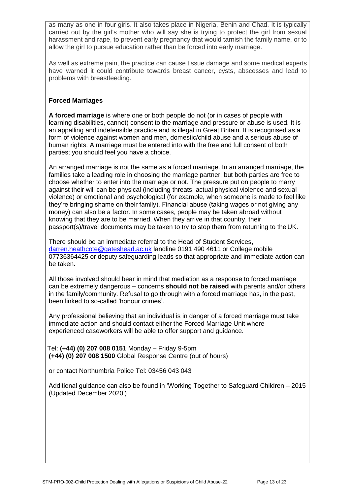as many as one in four girls. It also takes place in Nigeria, Benin and Chad. It is typically carried out by the girl's mother who will say she is trying to protect the girl from sexual harassment and rape, to prevent early pregnancy that would tarnish the family name, or to allow the girl to pursue education rather than be forced into early marriage.

As well as extreme pain, the practice can cause tissue damage and some medical experts have warned it could contribute towards breast cancer, cysts, abscesses and lead to problems with breastfeeding.

## **Forced Marriages**

**A forced marriage** is where one or both people do not (or in cases of people with learning disabilities, cannot) consent to the marriage and pressure or abuse is used. It is an appalling and indefensible practice and is illegal in Great Britain. It is recognised as a form of violence against women and men, domestic/child abuse and a serious abuse of human rights. A marriage must be entered into with the free and full consent of both parties; you should feel you have a choice.

An arranged marriage is not the same as a forced marriage. In an arranged marriage, the families take a leading role in choosing the marriage partner, but both parties are free to choose whether to enter into the marriage or not. The pressure put on people to marry against their will can be physical (including threats, actual physical violence and sexual violence) or emotional and psychological (for example, when someone is made to feel like they're bringing shame on their family). Financial abuse (taking wages or not giving any money) can also be a factor. In some cases, people may be taken abroad without knowing that they are to be married. When they arrive in that country, their passport(s)/travel documents may be taken to try to stop them from returning to the UK.

There should be an immediate referral to the Head of Student Services, [darren.heathcote@gateshead.ac.uk](mailto:darren.heathcote@gateshead.ac.uk) landline 0191 490 4611 or College mobile 07736364425 or deputy safeguarding leads so that appropriate and immediate action can be taken.

All those involved should bear in mind that mediation as a response to forced marriage can be extremely dangerous – concerns **should not be raised** with parents and/or others in the family/community. Refusal to go through with a forced marriage has, in the past, been linked to so-called 'honour crimes'.

Any professional believing that an individual is in danger of a forced marriage must take immediate action and should contact either the Forced Marriage Unit where experienced caseworkers will be able to offer support and guidance.

 Tel: **(+44) (0) 207 008 0151** Monday – Friday 9-5pm **(+44) (0) 207 008 1500** Global Response Centre (out of hours)

or contact Northumbria Police Tel: 03456 043 043

Additional guidance can also be found in 'Working Together to Safeguard Children – 2015 (Updated December 2020')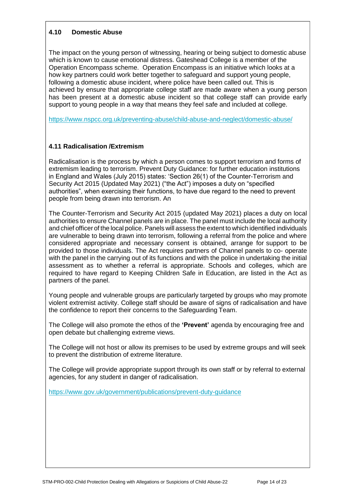## **4.10 Domestic Abuse**

The impact on the young person of witnessing, hearing or being subject to domestic abuse which is known to cause emotional distress. Gateshead College is a member of the Operation Encompass scheme. Operation Encompass is an initiative which looks at a how key partners could work better together to safeguard and support young people, following a domestic abuse incident, where police have been called out. This is achieved by ensure that appropriate college staff are made aware when a young person has been present at a domestic abuse incident so that college staff can provide early support to young people in a way that means they feel safe and included at college.

<https://www.nspcc.org.uk/preventing-abuse/child-abuse-and-neglect/domestic-abuse/>

## **4.11 Radicalisation /Extremism**

Radicalisation is the process by which a person comes to support terrorism and forms of extremism leading to terrorism. Prevent Duty Guidance: for further education institutions in England and Wales (July 2015) states: 'Section 26(1) of the Counter-Terrorism and Security Act 2015 (Updated May 2021) ("the Act") imposes a duty on "specified authorities", when exercising their functions, to have due regard to the need to prevent people from being drawn into terrorism. An

The Counter-Terrorism and Security Act 2015 (updated May 2021) places a duty on local authorities to ensure Channel panels are in place. The panel must include the local authority and chief officer of the local police. Panels will assess the extent to which identified individuals are vulnerable to being drawn into terrorism, following a referral from the police and where considered appropriate and necessary consent is obtained, arrange for support to be provided to those individuals. The Act requires partners of Channel panels to co- operate with the panel in the carrying out of its functions and with the police in undertaking the initial assessment as to whether a referral is appropriate. Schools and colleges, which are required to have regard to Keeping Children Safe in Education, are listed in the Act as partners of the panel.

Young people and vulnerable groups are particularly targeted by groups who may promote violent extremist activity. College staff should be aware of signs of radicalisation and have the confidence to report their concerns to the Safeguarding Team.

The College will also promote the ethos of the **'Prevent'** agenda by encouraging free and open debate but challenging extreme views.

The College will not host or allow its premises to be used by extreme groups and will seek to prevent the distribution of extreme literature.

The College will provide appropriate support through its own staff or by referral to external agencies, for any student in danger of radicalisation.

<https://www.gov.uk/government/publications/prevent-duty-guidance>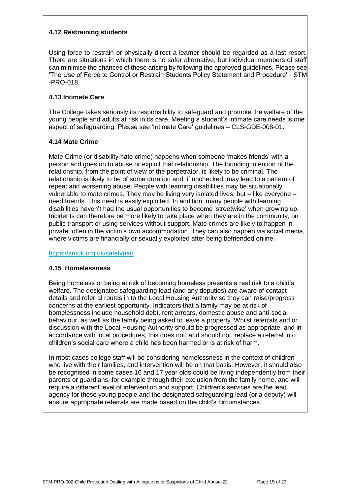## **4.12 Restraining students**

Using force to restrain or physically direct a learner should be regarded as a last resort. There are situations in which there is no safer alternative, but individual members of staff can minimise the chances of these arising by following the approved guidelines, Please see 'The Use of Force to Control or Restrain Students Policy Statement and Procedure' - STM -PRO-018.

#### **4.13 Intimate Care**

The College takes seriously its responsibility to safeguard and promote the welfare of the young people and adults at risk in its care. Meeting a student's intimate care needs is one aspect of safeguarding. Please see 'Intimate Care' guidelines – CLS-GDE-008-01.

## **4.14 Mate Crime**

Mate Crime (or disability hate crime) happens when someone 'makes friends' with a person and goes on to abuse or exploit that relationship. The founding intention of the relationship, from the point of view of the perpetrator, is likely to be criminal. The relationship is likely to be of some duration and, if unchecked, may lead to a pattern of repeat and worsening abuse. People with learning disabilities may be situationally vulnerable to mate crimes. They may be living very isolated lives, but – like everyone – need friends. This need is easily exploited. In addition, many people with learning disabilities haven't had the usual opportunities to become 'streetwise' when growing up. Incidents can therefore be more likely to take place when they are in the community, on public transport or using services without support. Mate crimes are likely to happen in private, often in the victim's own accommodation. They can also happen via social media, where victims are financially or sexually exploited after being befriended online.

<https://arcuk.org.uk/safetynet/>

#### **4.15 Homelessness**

Being homeless or being at risk of becoming homeless presents a real risk to a child's welfare. The designated safeguarding lead (and any deputies) are aware of contact details and referral routes in to the Local Housing Authority so they can raise/progress concerns at the earliest opportunity. Indicators that a family may be at risk of homelessness include household debt, rent arrears, domestic abuse and anti-social behaviour, as well as the family being asked to leave a property. Whilst referrals and or discussion with the Local Housing Authority should be progressed as appropriate, and in accordance with local procedures, this does not, and should not, replace a referral into children's social care where a child has been harmed or is at risk of harm.

In most cases college staff will be considering homelessness in the context of children who live with their families, and intervention will be on that basis. However, it should also be recognised in some cases 16 and 17 year olds could be living independently from their parents or guardians, for example through their exclusion from the family home, and will require a different level of intervention and support. Children's services are the lead agency for these young people and the designated safeguarding lead (or a deputy) will ensure appropriate referrals are made based on the child's circumstances.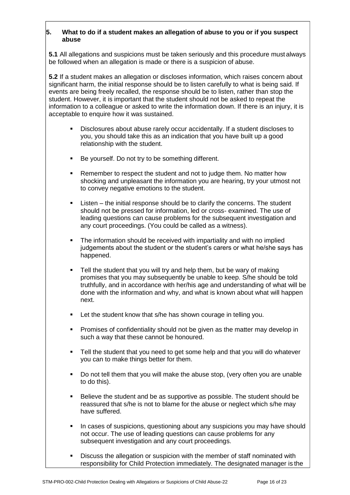#### **5. What to do if a student makes an allegation of abuse to you or if you suspect abuse**

**5.1** All allegations and suspicions must be taken seriously and this procedure must always be followed when an allegation is made or there is a suspicion of abuse.

**5.2** If a student makes an allegation or discloses information, which raises concern about significant harm, the initial response should be to listen carefully to what is being said. If events are being freely recalled, the response should be to listen, rather than stop the student. However, it is important that the student should not be asked to repeat the information to a colleague or asked to write the information down. If there is an injury, it is acceptable to enquire how it was sustained.

- Disclosures about abuse rarely occur accidentally. If a student discloses to you, you should take this as an indication that you have built up a good relationship with the student.
- Be yourself. Do not try to be something different.
- Remember to respect the student and not to judge them. No matter how shocking and unpleasant the information you are hearing, try your utmost not to convey negative emotions to the student.
- $Listen the initial response should be to clarify the concerns. The student$ should not be pressed for information, led or cross- examined. The use of leading questions can cause problems for the subsequent investigation and any court proceedings. (You could be called as a witness).
- **•** The information should be received with impartiality and with no implied judgements about the student or the student's carers or what he/she says has happened.
- Tell the student that you will try and help them, but be wary of making promises that you may subsequently be unable to keep. S/he should be told truthfully, and in accordance with her/his age and understanding of what will be done with the information and why, and what is known about what will happen next.
- **EXECT** Let the student know that s/he has shown courage in telling you.
- **•** Promises of confidentiality should not be given as the matter may develop in such a way that these cannot be honoured.
- Tell the student that you need to get some help and that you will do whatever you can to make things better for them.
- Do not tell them that you will make the abuse stop, (very often you are unable to do this).
- Believe the student and be as supportive as possible. The student should be reassured that s/he is not to blame for the abuse or neglect which s/he may have suffered.
- **•** In cases of suspicions, questioning about any suspicions you may have should not occur. The use of leading questions can cause problems for any subsequent investigation and any court proceedings.
- **EXT** Discuss the allegation or suspicion with the member of staff nominated with responsibility for Child Protection immediately. The designated manager is the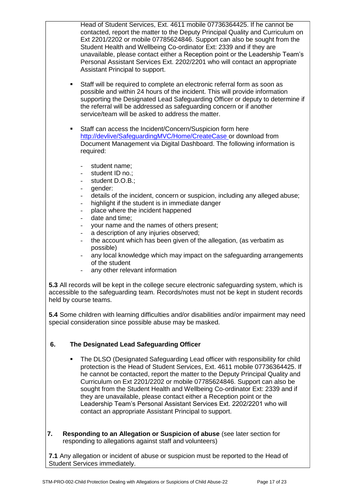Head of Student Services, Ext. 4611 mobile 07736364425. If he cannot be contacted, report the matter to the Deputy Principal Quality and Curriculum on Ext 2201/2202 or mobile 07785624846. Support can also be sought from the Student Health and Wellbeing Co-ordinator Ext: 2339 and if they are unavailable, please contact either a Reception point or the Leadership Team's Personal Assistant Services Ext. 2202/2201 who will contact an appropriate Assistant Principal to support.

- Staff will be required to complete an electronic referral form as soon as possible and within 24 hours of the incident. This will provide information supporting the Designated Lead Safeguarding Officer or deputy to determine if the referral will be addressed as safeguarding concern or if another service/team will be asked to address the matter.
- Staff can access the Incident/Concern/Suspicion form here [http://devlive/SafeguardingMVC/Home/CreateCase o](http://devlive/SafeguardingMVC/Home/CreateCase)r download from Document Management via Digital Dashboard. The following information is required:
	- student name;
	- student ID no.:
	- student D.O.B.;
	- aender:
	- details of the incident, concern or suspicion, including any alleged abuse;
	- highlight if the student is in immediate danger
	- place where the incident happened
	- date and time;
	- your name and the names of others present;
	- a description of any injuries observed;
	- the account which has been given of the allegation, (as verbatim as possible)
	- any local knowledge which may impact on the safeguarding arrangements of the student
	- any other relevant information

**5.3** All records will be kept in the college secure electronic safeguarding system, which is accessible to the safeguarding team. Records/notes must not be kept in student records held by course teams.

**5.4** Some children with learning difficulties and/or disabilities and/or impairment may need special consideration since possible abuse may be masked.

# **6. The Designated Lead Safeguarding Officer**

- **The DLSO (Designated Safeguarding Lead officer with responsibility for child** protection is the Head of Student Services, Ext. 4611 mobile 07736364425. If he cannot be contacted, report the matter to the Deputy Principal Quality and Curriculum on Ext 2201/2202 or mobile 07785624846. Support can also be sought from the Student Health and Wellbeing Co-ordinator Ext: 2339 and if they are unavailable, please contact either a Reception point or the Leadership Team's Personal Assistant Services Ext. 2202/2201 who will contact an appropriate Assistant Principal to support.
- **7. Responding to an Allegation or Suspicion of abuse** (see later section for responding to allegations against staff and volunteers)

**7.1** Any allegation or incident of abuse or suspicion must be reported to the Head of Student Services immediately.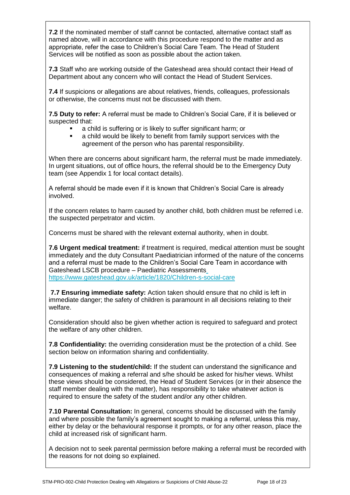**7.2** If the nominated member of staff cannot be contacted, alternative contact staff as named above, will in accordance with this procedure respond to the matter and as appropriate, refer the case to Children's Social Care Team. The Head of Student Services will be notified as soon as possible about the action taken.

**7.3** Staff who are working outside of the Gateshead area should contact their Head of Department about any concern who will contact the Head of Student Services.

**7.4** If suspicions or allegations are about relatives, friends, colleagues, professionals or otherwise, the concerns must not be discussed with them.

**7.5 Duty to refer:** A referral must be made to Children's Social Care, if it is believed or suspected that:

- a child is suffering or is likely to suffer significant harm; or
- a child would be likely to benefit from family support services with the agreement of the person who has parental responsibility.

When there are concerns about significant harm, the referral must be made immediately. In urgent situations, out of office hours, the referral should be to the Emergency Duty team (see Appendix 1 for local contact details).

A referral should be made even if it is known that Children's Social Care is already involved.

If the concern relates to harm caused by another child, both children must be referred i.e. the suspected perpetrator and victim.

Concerns must be shared with the relevant external authority, when in doubt.

**7.6 Urgent medical treatment:** if treatment is required, medical attention must be sought immediately and the duty Consultant Paediatrician informed of the nature of the concerns and a referral must be made to the Children's Social Care Team in accordance with Gateshead LSCB procedure – Paediatric Assessments <https://www.gateshead.gov.uk/article/1820/Children-s-social-care>

**7.7 Ensuring immediate safety:** Action taken should ensure that no child is left in immediate danger; the safety of children is paramount in all decisions relating to their welfare.

Consideration should also be given whether action is required to safeguard and protect the welfare of any other children.

**7.8 Confidentiality:** the overriding consideration must be the protection of a child. See section below on information sharing and confidentiality.

**7.9 Listening to the student/child:** If the student can understand the significance and consequences of making a referral and s/he should be asked for his/her views. Whilst these views should be considered, the Head of Student Services (or in their absence the staff member dealing with the matter), has responsibility to take whatever action is required to ensure the safety of the student and/or any other children.

**7.10 Parental Consultation:** In general, concerns should be discussed with the family and where possible the family's agreement sought to making a referral, unless this may, either by delay or the behavioural response it prompts, or for any other reason, place the child at increased risk of significant harm.

A decision not to seek parental permission before making a referral must be recorded with the reasons for not doing so explained.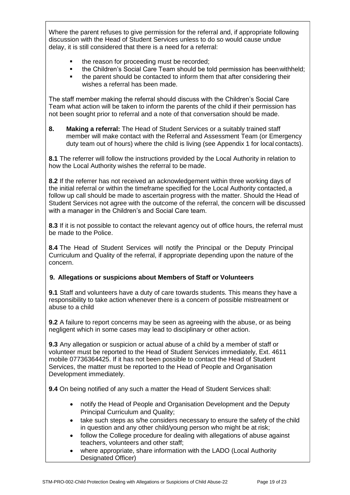Where the parent refuses to give permission for the referral and, if appropriate following discussion with the Head of Student Services unless to do so would cause undue delay, it is still considered that there is a need for a referral:

- the reason for proceeding must be recorded;
- the Children's Social Care Team should be told permission has beenwithheld;
- the parent should be contacted to inform them that after considering their wishes a referral has been made.

The staff member making the referral should discuss with the Children's Social Care Team what action will be taken to inform the parents of the child if their permission has not been sought prior to referral and a note of that conversation should be made.

**8. Making a referral:** The Head of Student Services or a suitably trained staff member will make contact with the Referral and Assessment Team (or Emergency duty team out of hours) where the child is living (see Appendix 1 for local contacts).

**8.1** The referrer will follow the instructions provided by the Local Authority in relation to how the Local Authority wishes the referral to be made.

**8.2** If the referrer has not received an acknowledgement within three working days of the initial referral or within the timeframe specified for the Local Authority contacted, a follow up call should be made to ascertain progress with the matter. Should the Head of Student Services not agree with the outcome of the referral, the concern will be discussed with a manager in the Children's and Social Care team.

**8.3** If it is not possible to contact the relevant agency out of office hours, the referral must be made to the Police.

**8.4** The Head of Student Services will notify the Principal or the Deputy Principal Curriculum and Quality of the referral, if appropriate depending upon the nature of the concern.

#### **9. Allegations or suspicions about Members of Staff or Volunteers**

**9.1** Staff and volunteers have a duty of care towards students. This means they have a responsibility to take action whenever there is a concern of possible mistreatment or abuse to a child

**9.2** A failure to report concerns may be seen as agreeing with the abuse, or as being negligent which in some cases may lead to disciplinary or other action.

**9.3** Any allegation or suspicion or actual abuse of a child by a member of staff or volunteer must be reported to the Head of Student Services immediately, Ext. 4611 mobile 07736364425. If it has not been possible to contact the Head of Student Services, the matter must be reported to the Head of People and Organisation Development immediately.

**9.4** On being notified of any such a matter the Head of Student Services shall:

- notify the Head of People and Organisation Development and the Deputy Principal Curriculum and Quality;
- take such steps as s/he considers necessary to ensure the safety of the child in question and any other child/young person who might be at risk;
- follow the College procedure for dealing with allegations of abuse against teachers, volunteers and other staff;
- where appropriate, share information with the LADO (Local Authority Designated Officer)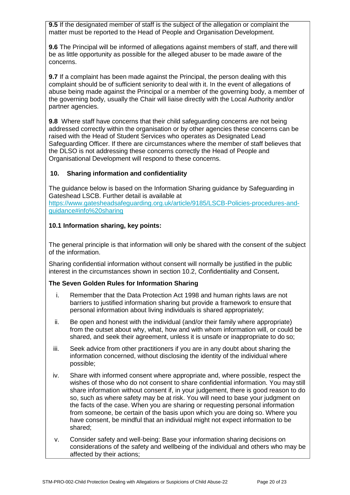**9.5** If the designated member of staff is the subject of the allegation or complaint the matter must be reported to the Head of People and Organisation Development.

**9.6** The Principal will be informed of allegations against members of staff, and there will be as little opportunity as possible for the alleged abuser to be made aware of the concerns.

**9.7** If a complaint has been made against the Principal, the person dealing with this complaint should be of sufficient seniority to deal with it. In the event of allegations of abuse being made against the Principal or a member of the governing body, a member of the governing body, usually the Chair will liaise directly with the Local Authority and/or partner agencies.

**9.8** Where staff have concerns that their child safeguarding concerns are not being addressed correctly within the organisation or by other agencies these concerns can be raised with the Head of Student Services who operates as Designated Lead Safeguarding Officer. If there are circumstances where the member of staff believes that the DLSO is not addressing these concerns correctly the Head of People and Organisational Development will respond to these concerns.

## **10. Sharing information and confidentiality**

The guidance below is based on the Information Sharing guidance by Safeguarding in Gateshead LSCB. Further detail is available at [https://www.gatesheadsafeguarding.org.uk/article/9185/LSCB-Policies-procedures-and](https://www.gatesheadsafeguarding.org.uk/article/9185/LSCB-Policies-procedures-and-guidance#info%20sharing)[guidance#info%20sharing](https://www.gatesheadsafeguarding.org.uk/article/9185/LSCB-Policies-procedures-and-guidance#info%20sharing)

#### **10.1 Information sharing, key points:**

The general principle is that information will only be shared with the consent of the subject of the information.

Sharing confidential information without consent will normally be justified in the public interest in the circumstances shown in [section 10.2, Confidentiality and Consent](http://www.proceduresonline.com/nesubregion/Gateshead_SCB/p_info_sharing.html#gov_guidance)**.**

#### **The Seven Golden Rules for Information Sharing**

- i. Remember that the Data Protection Act 1998 and human rights laws are not barriers to justified information sharing but provide a framework to ensure that personal information about living individuals is shared appropriately;
- ii. Be open and honest with the individual (and/or their family where appropriate) from the outset about why, what, how and with whom information will, or could be shared, and seek their agreement, unless it is unsafe or inappropriate to do so;
- iii. Seek advice from other practitioners if you are in any doubt about sharing the information concerned, without disclosing the identity of the individual where possible;
- iv. Share with informed consent where appropriate and, where possible, respect the wishes of those who do not consent to share confidential information. You may still share information without consent if, in your judgement, there is good reason to do so, such as where safety may be at risk. You will need to base your judgment on the facts of the case. When you are sharing or requesting personal information from someone, be certain of the basis upon which you are doing so. Where you have consent, be mindful that an individual might not expect information to be shared;
- v. Consider safety and well-being: Base your information sharing decisions on considerations of the safety and wellbeing of the individual and others who may be affected by their actions;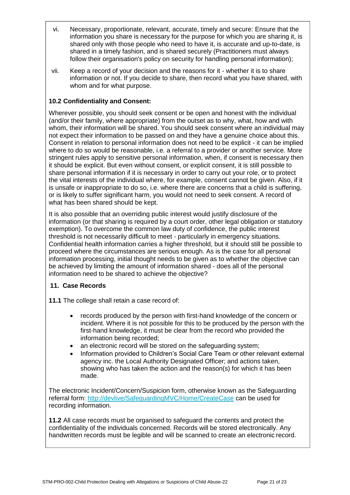- vi. Necessary, proportionate, relevant, accurate, timely and secure: Ensure that the information you share is necessary for the purpose for which you are sharing it, is shared only with those people who need to have it, is accurate and up-to-date, is shared in a timely fashion, and is shared securely (Practitioners must always follow their organisation's policy on security for handling personal information);
- vii. Keep a record of your decision and the reasons for it whether it is to share information or not. If you decide to share, then record what you have shared, with whom and for what purpose.

## **10.2 Confidentiality and Consent:**

Wherever possible, you should seek consent or be open and honest with the individual (and/or their family, where appropriate) from the outset as to why, what, how and with whom, their information will be shared. You should seek consent where an individual may not expect their information to be passed on and they have a genuine choice about this. Consent in relation to personal information does not need to be explicit - it can be implied where to do so would be reasonable, i.e. a referral to a provider or another service. More stringent rules apply to sensitive personal information, when, if consent is necessary then it should be explicit. But even without consent, or explicit consent, it is still possible to share personal information if it is necessary in order to carry out your role, or to protect the vital interests of the individual where, for example, consent cannot be given. Also, if it is unsafe or inappropriate to do so, i.e. where there are concerns that a child is suffering, or is likely to suffer significant harm, you would not need to seek consent. A record of what has been shared should be kept.

It is also possible that an overriding public interest would justify disclosure of the information (or that sharing is required by a court order, other legal obligation or statutory exemption). To overcome the common law duty of confidence, the public interest threshold is not necessarily difficult to meet - particularly in emergency situations. Confidential health information carries a higher threshold, but it should still be possible to proceed where the circumstances are serious enough. As is the case for all personal information processing, initial thought needs to be given as to whether the objective can be achieved by limiting the amount of information shared - does all of the personal information need to be shared to achieve the objective?

## **11. Case Records**

**11.1** The college shall retain a case record of:

- records produced by the person with first-hand knowledge of the concern or incident. Where it is not possible for this to be produced by the person with the first-hand knowledge, it must be clear from the record who provided the information being recorded;
- an electronic record will be stored on the safeguarding system;
- Information provided to Children's Social Care Team or other relevant external agency inc. the Local Authority Designated Officer; and actions taken, showing who has taken the action and the reason(s) for which it has been made.

The electronic Incident/Concern/Suspicion form, otherwise known as the Safeguarding referral form:<http://devlive/SafeguardingMVC/Home/CreateCase> can be used for recording information.

**11.2** All case records must be organised to safeguard the contents and protect the confidentiality of the individuals concerned. Records will be stored electronically. Any handwritten records must be legible and will be scanned to create an electronic record.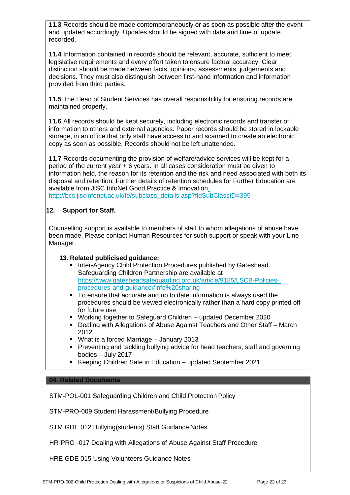**11.3** Records should be made contemporaneously or as soon as possible after the event and updated accordingly. Updates should be signed with date and time of update recorded.

**11.4** Information contained in records should be relevant, accurate, sufficient to meet legislative requirements and every effort taken to ensure factual accuracy. Clear distinction should be made between facts, opinions, assessments, judgements and decisions. They must also distinguish between first-hand information and information provided from third parties.

**11.5** The Head of Student Services has overall responsibility for ensuring records are maintained properly.

**11.6** All records should be kept securely, including electronic records and transfer of information to others and external agencies. Paper records should be stored in lockable storage, in an office that only staff have access to and scanned to create an electronic copy as soon as possible. Records should not be left unattended.

**11.7** Records documenting the provision of welfare/advice services will be kept for a period of the current year + 6 years. In all cases consideration must be given to information held, the reason for its retention and the risk and need associated with both its disposal and retention. Further details of retention schedules for Further Education are available from JISC InfoNet Good Practice & Innovation [http://bcs.jiscinfonet.ac.uk/fe/subclass\\_details.asp?fldSubClassID=395](http://bcs.jiscinfonet.ac.uk/fe/subclass_details.asp?fldSubClassID=395)

## **12. Support for Staff.**

Counselling support is available to members of staff to whom allegations of abuse have been made. Please contact Human Resources for such support or speak with your Line Manager.

#### **13. Related publicised guidance:**

- Inter-Agency Child Protection Procedures published by Gateshead Safeguarding Children Partnership are available at [https://www.gatesheadsafeguarding.org.uk/article/9185/LSCB-Policies](https://www.gatesheadsafeguarding.org.uk/article/9185/LSCB-Policies-procedures-and-guidance#info%20sharing)[procedures-and-guidance#info%20sharing](https://www.gatesheadsafeguarding.org.uk/article/9185/LSCB-Policies-procedures-and-guidance#info%20sharing)
- To ensure that accurate and up to date information is always used the procedures should be viewed electronically rather than a hard copy printed off for future use
- Working together to Safeguard Children updated December 2020
- Dealing with Allegations of Abuse Against Teachers and Other Staff March 2012
- What is a forced Marriage January 2013
- Preventing and tackling bullying advice for head teachers, staff and governing bodies – July 2017
- Keeping Children Safe in Education updated September 2021

#### **04. Related Documents**

[STM-POL-001 Safeguarding Children and Child Protection](http://devlive/dms/STM/01.Policies/STM-POL-001-Safeguarding%20Children%20Child%20Protection%20Policy-06.pdf) Policy

[STM-PRO-009 Student Harassment/Bullying](http://devlive/dms/STM/02.Procedures/STM-PRO-009-Student%20Harassment%20Procedure-05.pdf) Procedure

STM GDE 012 Bullying(students) Staff Guidance Notes

[HR-PRO -017 Dealing with Allegations of Abuse Against Staff P](http://devlive/dms/STM/04.Forms/STM-FRM-007-Photo%20Consent-Children%20Young%20people%20Vulnerable%20Adults-02%20.pdf)rocedure

HRE GDE 015 Using Volunteers Guidance Notes